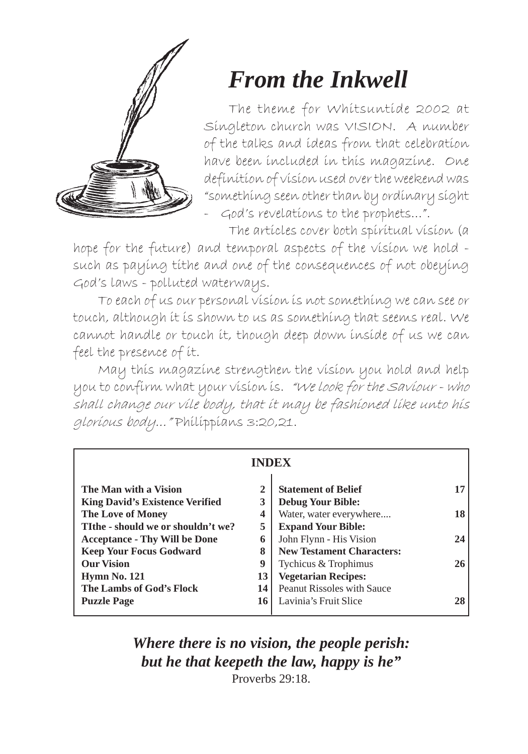

## *From the Inkwell*

The theme for Whitsuntide 2002 at Singleton church was VISION. A number of the talks and ideas from that celebration have been included in this magazine. One definition of vision used over the weekend was "something seen other than by ordinary sight - God's revelations to the prophets...".

The articles cover both spiritual vision (a

hope for the future) and temporal aspects of the vision we hold such as paying tithe and one of the consequences of not obeying God's laws - polluted waterways.

To each of us our personal vision is not something we can see or touch, although it is shown to us as something that seems real. We cannot handle or touch it, though deep down inside of us we can feel the presence of it.

May this magazine strengthen the vision you hold and help you to confirm what your vision is. "We look for the Saviour - who shall change our vile body, that it may be fashioned like unto his glorious body..." Philippians 3:20,21.

| <b>INDEX</b>                           |              |                                   |    |  |
|----------------------------------------|--------------|-----------------------------------|----|--|
| The Man with a Vision                  | $\mathbf{2}$ | <b>Statement of Belief</b>        | 17 |  |
| <b>King David's Existence Verified</b> | 3            | <b>Debug Your Bible:</b>          |    |  |
| <b>The Love of Money</b>               | 4            | Water, water everywhere           | 18 |  |
| TIthe - should we or shouldn't we?     | 5            | <b>Expand Your Bible:</b>         |    |  |
| <b>Acceptance - Thy Will be Done</b>   | 6            | John Flynn - His Vision           | 24 |  |
| <b>Keep Your Focus Godward</b>         | 8            | <b>New Testament Characters:</b>  |    |  |
| <b>Our Vision</b>                      | 9            | Tychicus & Trophimus              | 26 |  |
| <b>Hymn No. 121</b>                    | 13           | <b>Vegetarian Recipes:</b>        |    |  |
| The Lambs of God's Flock               | 14           | <b>Peanut Rissoles with Sauce</b> |    |  |
| <b>Puzzle Page</b>                     | 16           | Lavinia's Fruit Slice             | 28 |  |

*Where there is no vision, the people perish: but he that keepeth the law, happy is he"* Proverbs 29:18.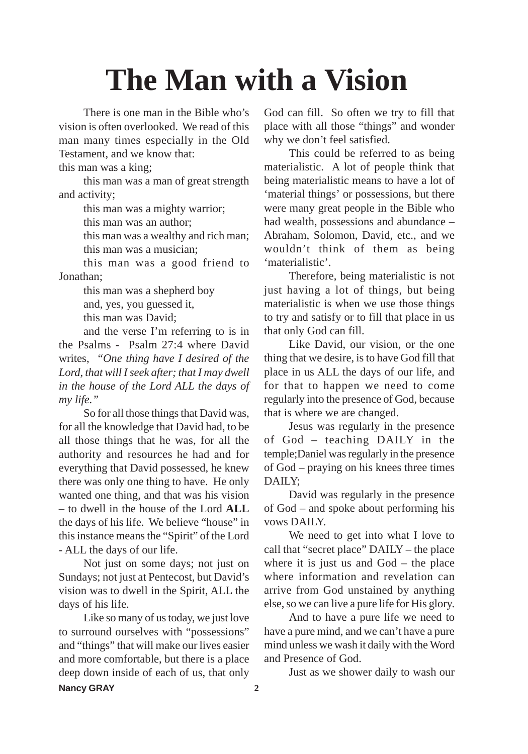## **The Man with a Vision**

There is one man in the Bible who's vision is often overlooked. We read of this man many times especially in the Old Testament, and we know that:

this man was a king;

this man was a man of great strength and activity;

this man was a mighty warrior;

this man was an author;

this man was a wealthy and rich man; this man was a musician;

this man was a good friend to Jonathan;

> this man was a shepherd boy and, yes, you guessed it, this man was David;

and the verse I'm referring to is in the Psalms - Psalm 27:4 where David writes, *"One thing have I desired of the Lord, that will I seek after; that I may dwell in the house of the Lord ALL the days of my life."*

So for all those things that David was, for all the knowledge that David had, to be all those things that he was, for all the authority and resources he had and for everything that David possessed, he knew there was only one thing to have. He only wanted one thing, and that was his vision – to dwell in the house of the Lord **ALL** the days of his life. We believe "house" in this instance means the "Spirit" of the Lord - ALL the days of our life.

Not just on some days; not just on Sundays; not just at Pentecost, but David's vision was to dwell in the Spirit, ALL the days of his life.

Like so many of us today, we just love to surround ourselves with "possessions" and "things" that will make our lives easier and more comfortable, but there is a place deep down inside of each of us, that only **Nancy GRAY 2**

God can fill. So often we try to fill that place with all those "things" and wonder why we don't feel satisfied.

This could be referred to as being materialistic. A lot of people think that being materialistic means to have a lot of 'material things' or possessions, but there were many great people in the Bible who had wealth, possessions and abundance – Abraham, Solomon, David, etc., and we wouldn't think of them as being 'materialistic'.

Therefore, being materialistic is not just having a lot of things, but being materialistic is when we use those things to try and satisfy or to fill that place in us that only God can fill.

Like David, our vision, or the one thing that we desire, is to have God fill that place in us ALL the days of our life, and for that to happen we need to come regularly into the presence of God, because that is where we are changed.

Jesus was regularly in the presence of God – teaching DAILY in the temple;Daniel was regularly in the presence of God – praying on his knees three times DAILY;

David was regularly in the presence of God – and spoke about performing his vows DAILY.

We need to get into what I love to call that "secret place" DAILY – the place where it is just us and God – the place where information and revelation can arrive from God unstained by anything else, so we can live a pure life for His glory.

And to have a pure life we need to have a pure mind, and we can't have a pure mind unless we wash it daily with the Word and Presence of God.

Just as we shower daily to wash our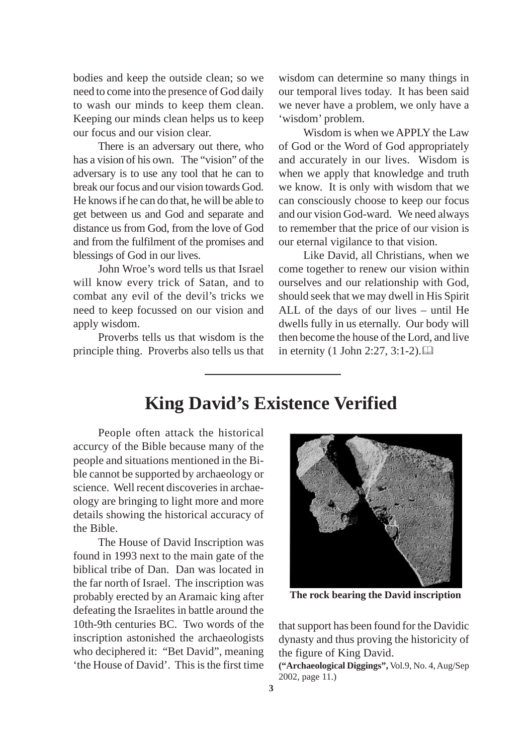bodies and keep the outside clean; so we need to come into the presence of God daily to wash our minds to keep them clean. Keeping our minds clean helps us to keep our focus and our vision clear.

There is an adversary out there, who has a vision of his own. The "vision" of the adversary is to use any tool that he can to break our focus and our vision towards God. He knows if he can do that, he will be able to get between us and God and separate and distance us from God, from the love of God and from the fulfilment of the promises and blessings of God in our lives.

John Wroe's word tells us that Israel will know every trick of Satan, and to combat any evil of the devil's tricks we need to keep focussed on our vision and apply wisdom.

Proverbs tells us that wisdom is the principle thing. Proverbs also tells us that wisdom can determine so many things in our temporal lives today. It has been said we never have a problem, we only have a 'wisdom' problem.

Wisdom is when we APPLY the Law of God or the Word of God appropriately and accurately in our lives. Wisdom is when we apply that knowledge and truth we know. It is only with wisdom that we can consciously choose to keep our focus and our vision God-ward. We need always to remember that the price of our vision is our eternal vigilance to that vision.

Like David, all Christians, when we come together to renew our vision within ourselves and our relationship with God, should seek that we may dwell in His Spirit ALL of the days of our lives – until He dwells fully in us eternally. Our body will then become the house of the Lord, and live in eternity (1 John 2:27, 3:1-2).

#### **King David's Existence Verified**

People often attack the historical accurcy of the Bible because many of the people and situations mentioned in the Bible cannot be supported by archaeology or science. Well recent discoveries in archaeology are bringing to light more and more details showing the historical accuracy of the Bible.

The House of David Inscription was found in 1993 next to the main gate of the biblical tribe of Dan. Dan was located in the far north of Israel. The inscription was probably erected by an Aramaic king after defeating the Israelites in battle around the 10th-9th centuries BC. Two words of the inscription astonished the archaeologists who deciphered it: "Bet David", meaning 'the House of David'. This is the first time



**The rock bearing the David inscription**

that support has been found for the Davidic dynasty and thus proving the historicity of the figure of King David.

**("Archaeological Diggings",** Vol.9, No. 4, Aug/Sep 2002, page 11.)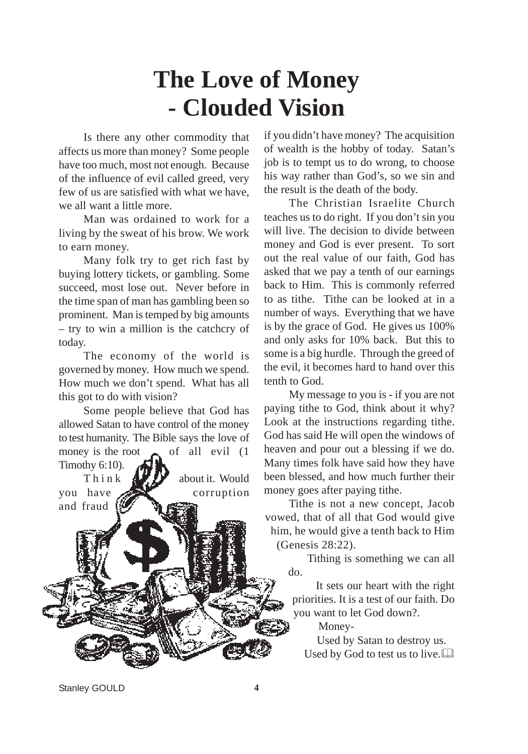## **The Love of Money - Clouded Vision**

Is there any other commodity that affects us more than money? Some people have too much, most not enough. Because of the influence of evil called greed, very few of us are satisfied with what we have, we all want a little more.

Man was ordained to work for a living by the sweat of his brow. We work to earn money.

Many folk try to get rich fast by buying lottery tickets, or gambling. Some succeed, most lose out. Never before in the time span of man has gambling been so prominent. Man is temped by big amounts – try to win a million is the catchcry of today.

The economy of the world is governed by money. How much we spend. How much we don't spend. What has all this got to do with vision?

Some people believe that God has allowed Satan to have control of the money to test humanity. The Bible says the love of money is the root  $\bullet$  of all evil (1) Timothy 6:10).

Think  $\mathbf{A}$   $\mathbf{B}$  about it. Would you have corruption and fraud

if you didn't have money? The acquisition of wealth is the hobby of today. Satan's job is to tempt us to do wrong, to choose his way rather than God's, so we sin and the result is the death of the body.

The Christian Israelite Church teaches us to do right. If you don't sin you will live. The decision to divide between money and God is ever present. To sort out the real value of our faith, God has asked that we pay a tenth of our earnings back to Him. This is commonly referred to as tithe. Tithe can be looked at in a number of ways. Everything that we have is by the grace of God. He gives us 100% and only asks for 10% back. But this to some is a big hurdle. Through the greed of the evil, it becomes hard to hand over this tenth to God.

My message to you is - if you are not paying tithe to God, think about it why? Look at the instructions regarding tithe. God has said He will open the windows of heaven and pour out a blessing if we do. Many times folk have said how they have been blessed, and how much further their money goes after paying tithe.

Tithe is not a new concept, Jacob vowed, that of all that God would give him, he would give a tenth back to Him (Genesis 28:22).

> Tithing is something we can all do.

It sets our heart with the right priorities. It is a test of our faith. Do you want to let God down?.

Money-

Used by Satan to destroy us. Used by God to test us to live.

Stanley GOULD 4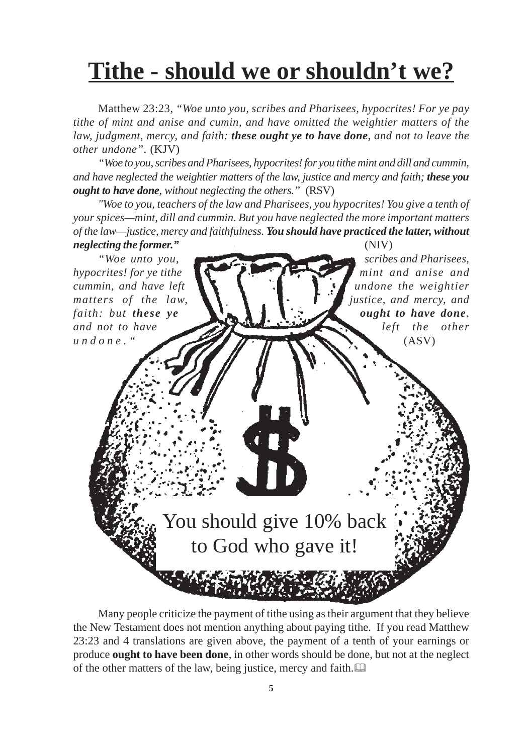## **Tithe - should we or shouldn't we?**

Matthew 23:23, *"Woe unto you, scribes and Pharisees, hypocrites! For ye pay tithe of mint and anise and cumin, and have omitted the weightier matters of the law, judgment, mercy, and faith: these ought ye to have done, and not to leave the other undone"*. (KJV)

*"Woe to you, scribes and Pharisees, hypocrites! for you tithe mint and dill and cummin, and have neglected the weightier matters of the law, justice and mercy and faith; these you ought to have done, without neglecting the others."* (RSV)

*"Woe to you, teachers of the law and Pharisees, you hypocrites! You give a tenth of your spices—mint, dill and cummin. But you have neglected the more important matters of the law—justice, mercy and faithfulness. You should have practiced the latter, without neglecting the former."* (NIV)



Many people criticize the payment of tithe using as their argument that they believe the New Testament does not mention anything about paying tithe. If you read Matthew 23:23 and 4 translations are given above, the payment of a tenth of your earnings or produce **ought to have been done**, in other words should be done, but not at the neglect of the other matters of the law, being justice, mercy and faith.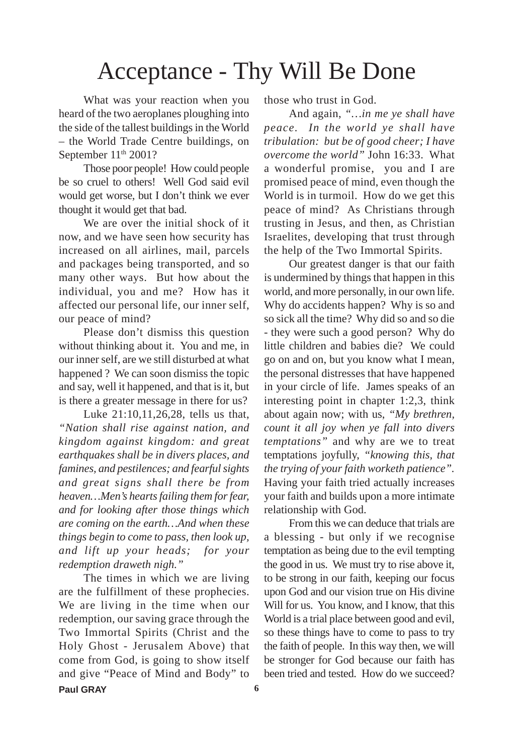### Acceptance - Thy Will Be Done

What was your reaction when you heard of the two aeroplanes ploughing into the side of the tallest buildings in the World – the World Trade Centre buildings, on September 11<sup>th</sup> 2001?

Those poor people! How could people be so cruel to others! Well God said evil would get worse, but I don't think we ever thought it would get that bad.

We are over the initial shock of it now, and we have seen how security has increased on all airlines, mail, parcels and packages being transported, and so many other ways. But how about the individual, you and me? How has it affected our personal life, our inner self, our peace of mind?

Please don't dismiss this question without thinking about it. You and me, in our inner self, are we still disturbed at what happened ? We can soon dismiss the topic and say, well it happened, and that is it, but is there a greater message in there for us?

Luke 21:10,11,26,28, tells us that, *"Nation shall rise against nation, and kingdom against kingdom: and great earthquakes shall be in divers places, and famines, and pestilences; and fearful sights and great signs shall there be from heaven…Men's hearts failing them for fear, and for looking after those things which are coming on the earth…And when these things begin to come to pass, then look up, and lift up your heads; for your redemption draweth nigh."*

The times in which we are living are the fulfillment of these prophecies. We are living in the time when our redemption, our saving grace through the Two Immortal Spirits (Christ and the Holy Ghost - Jerusalem Above) that come from God, is going to show itself and give "Peace of Mind and Body" to **Paul GRAY 6**

those who trust in God.

And again, *"…in me ye shall have peace. In the world ye shall have tribulation: but be of good cheer; I have overcome the world"* John 16:33. What a wonderful promise, you and I are promised peace of mind, even though the World is in turmoil. How do we get this peace of mind? As Christians through trusting in Jesus, and then, as Christian Israelites, developing that trust through the help of the Two Immortal Spirits.

Our greatest danger is that our faith is undermined by things that happen in this world, and more personally, in our own life. Why do accidents happen? Why is so and so sick all the time? Why did so and so die - they were such a good person? Why do little children and babies die? We could go on and on, but you know what I mean, the personal distresses that have happened in your circle of life. James speaks of an interesting point in chapter 1:2,3, think about again now; with us, *"My brethren, count it all joy when ye fall into divers temptations"* and why are we to treat temptations joyfully, *"knowing this, that the trying of your faith worketh patience".* Having your faith tried actually increases your faith and builds upon a more intimate relationship with God.

From this we can deduce that trials are a blessing - but only if we recognise temptation as being due to the evil tempting the good in us. We must try to rise above it, to be strong in our faith, keeping our focus upon God and our vision true on His divine Will for us. You know, and I know, that this World is a trial place between good and evil, so these things have to come to pass to try the faith of people. In this way then, we will be stronger for God because our faith has been tried and tested. How do we succeed?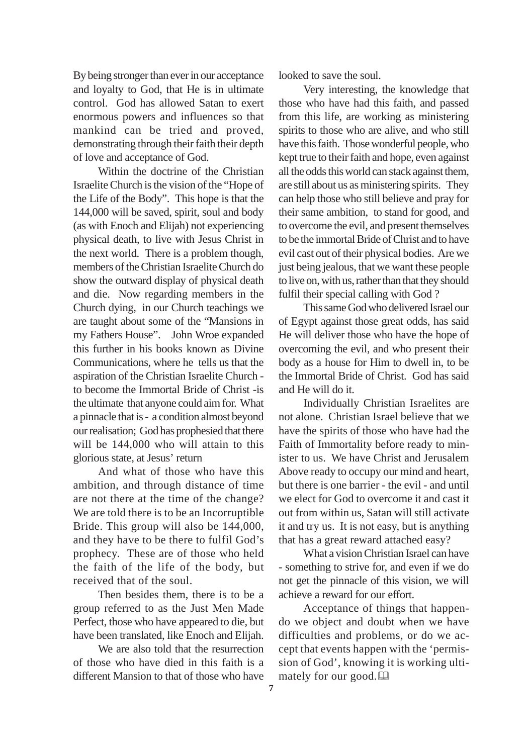By being stronger than ever in our acceptance and loyalty to God, that He is in ultimate control. God has allowed Satan to exert enormous powers and influences so that mankind can be tried and proved, demonstrating through their faith their depth of love and acceptance of God.

Within the doctrine of the Christian Israelite Church is the vision of the "Hope of the Life of the Body". This hope is that the 144,000 will be saved, spirit, soul and body (as with Enoch and Elijah) not experiencing physical death, to live with Jesus Christ in the next world. There is a problem though, members of the Christian Israelite Church do show the outward display of physical death and die. Now regarding members in the Church dying, in our Church teachings we are taught about some of the "Mansions in my Fathers House". John Wroe expanded this further in his books known as Divine Communications, where he tells us that the aspiration of the Christian Israelite Church to become the Immortal Bride of Christ -is the ultimate that anyone could aim for. What a pinnacle that is - a condition almost beyond our realisation; God has prophesied that there will be 144,000 who will attain to this glorious state, at Jesus' return

And what of those who have this ambition, and through distance of time are not there at the time of the change? We are told there is to be an Incorruptible Bride. This group will also be 144,000, and they have to be there to fulfil God's prophecy. These are of those who held the faith of the life of the body, but received that of the soul.

Then besides them, there is to be a group referred to as the Just Men Made Perfect, those who have appeared to die, but have been translated, like Enoch and Elijah.

We are also told that the resurrection of those who have died in this faith is a different Mansion to that of those who have looked to save the soul.

Very interesting, the knowledge that those who have had this faith, and passed from this life, are working as ministering spirits to those who are alive, and who still have this faith. Those wonderful people, who kept true to their faith and hope, even against all the odds this world can stack against them, are still about us as ministering spirits. They can help those who still believe and pray for their same ambition, to stand for good, and to overcome the evil, and present themselves to be the immortal Bride of Christ and to have evil cast out of their physical bodies. Are we just being jealous, that we want these people to live on, with us, rather than that they should fulfil their special calling with God ?

This same God who delivered Israel our of Egypt against those great odds, has said He will deliver those who have the hope of overcoming the evil, and who present their body as a house for Him to dwell in, to be the Immortal Bride of Christ. God has said and He will do it.

Individually Christian Israelites are not alone. Christian Israel believe that we have the spirits of those who have had the Faith of Immortality before ready to minister to us. We have Christ and Jerusalem Above ready to occupy our mind and heart, but there is one barrier - the evil - and until we elect for God to overcome it and cast it out from within us, Satan will still activate it and try us. It is not easy, but is anything that has a great reward attached easy?

What a vision Christian Israel can have - something to strive for, and even if we do not get the pinnacle of this vision, we will achieve a reward for our effort.

Acceptance of things that happendo we object and doubt when we have difficulties and problems, or do we accept that events happen with the 'permission of God', knowing it is working ultimately for our good.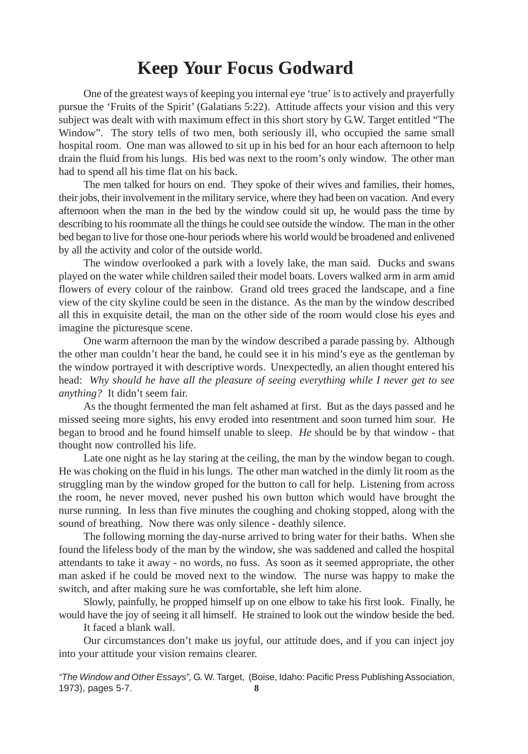#### **Keep Your Focus Godward**

One of the greatest ways of keeping you internal eye 'true' is to actively and prayerfully pursue the 'Fruits of the Spirit' (Galatians 5:22). Attitude affects your vision and this very subject was dealt with with maximum effect in this short story by G.W. Target entitled "The Window". The story tells of two men, both seriously ill, who occupied the same small hospital room. One man was allowed to sit up in his bed for an hour each afternoon to help drain the fluid from his lungs. His bed was next to the room's only window. The other man had to spend all his time flat on his back.

The men talked for hours on end. They spoke of their wives and families, their homes, their jobs, their involvement in the military service, where they had been on vacation. And every afternoon when the man in the bed by the window could sit up, he would pass the time by describing to his roommate all the things he could see outside the window. The man in the other bed began to live for those one-hour periods where his world would be broadened and enlivened by all the activity and color of the outside world.

The window overlooked a park with a lovely lake, the man said. Ducks and swans played on the water while children sailed their model boats. Lovers walked arm in arm amid flowers of every colour of the rainbow. Grand old trees graced the landscape, and a fine view of the city skyline could be seen in the distance. As the man by the window described all this in exquisite detail, the man on the other side of the room would close his eyes and imagine the picturesque scene.

One warm afternoon the man by the window described a parade passing by. Although the other man couldn't hear the band, he could see it in his mind's eye as the gentleman by the window portrayed it with descriptive words. Unexpectedly, an alien thought entered his head: *Why should he have all the pleasure of seeing everything while I never get to see anything?* It didn't seem fair.

As the thought fermented the man felt ashamed at first. But as the days passed and he missed seeing more sights, his envy eroded into resentment and soon turned him sour. He began to brood and he found himself unable to sleep. *He* should be by that window - that thought now controlled his life.

Late one night as he lay staring at the ceiling, the man by the window began to cough. He was choking on the fluid in his lungs. The other man watched in the dimly lit room as the struggling man by the window groped for the button to call for help. Listening from across the room, he never moved, never pushed his own button which would have brought the nurse running. In less than five minutes the coughing and choking stopped, along with the sound of breathing. Now there was only silence - deathly silence.

The following morning the day-nurse arrived to bring water for their baths. When she found the lifeless body of the man by the window, she was saddened and called the hospital attendants to take it away - no words, no fuss. As soon as it seemed appropriate, the other man asked if he could be moved next to the window. The nurse was happy to make the switch, and after making sure he was comfortable, she left him alone.

Slowly, painfully, he propped himself up on one elbow to take his first look. Finally, he would have the joy of seeing it all himself. He strained to look out the window beside the bed.

It faced a blank wall.

Our circumstances don't make us joyful, our attitude does, and if you can inject joy into your attitude your vision remains clearer.

**8** "The Window and Other Essays", G. W. Target, (Boise, Idaho: Pacific Press Publishing Association, 1973), pages 5-7.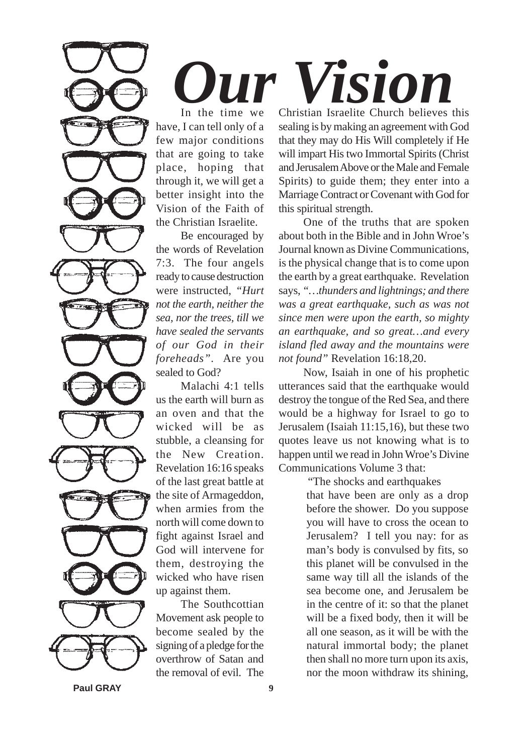*Our Vision*

In the time we have, I can tell only of a few major conditions that are going to take place, hoping that through it, we will get a better insight into the Vision of the Faith of the Christian Israelite.

Be encouraged by the words of Revelation 7:3. The four angels ready to cause destruction were instructed, *"Hurt not the earth, neither the sea, nor the trees, till we have sealed the servants of our God in their foreheads"*. Are you sealed to God?

Malachi 4:1 tells us the earth will burn as an oven and that the wicked will be as stubble, a cleansing for the New Creation. Revelation 16:16 speaks of the last great battle at the site of Armageddon, when armies from the north will come down to fight against Israel and God will intervene for them, destroying the wicked who have risen up against them.

The Southcottian Movement ask people to become sealed by the signing of a pledge for the overthrow of Satan and the removal of evil. The

Christian Israelite Church believes this sealing is by making an agreement with God that they may do His Will completely if He will impart His two Immortal Spirits (Christ and Jerusalem Above or the Male and Female Spirits) to guide them; they enter into a Marriage Contract or Covenant with God for this spiritual strength.

One of the truths that are spoken about both in the Bible and in John Wroe's Journal known as Divine Communications, is the physical change that is to come upon the earth by a great earthquake. Revelation says, *"…thunders and lightnings; and there was a great earthquake, such as was not since men were upon the earth, so mighty an earthquake, and so great…and every island fled away and the mountains were not found"* Revelation 16:18,20.

Now, Isaiah in one of his prophetic utterances said that the earthquake would destroy the tongue of the Red Sea, and there would be a highway for Israel to go to Jerusalem (Isaiah 11:15,16), but these two quotes leave us not knowing what is to happen until we read in John Wroe's Divine Communications Volume 3 that:

"The shocks and earthquakes

that have been are only as a drop before the shower. Do you suppose you will have to cross the ocean to Jerusalem? I tell you nay: for as man's body is convulsed by fits, so this planet will be convulsed in the same way till all the islands of the sea become one, and Jerusalem be in the centre of it: so that the planet will be a fixed body, then it will be all one season, as it will be with the natural immortal body; the planet then shall no more turn upon its axis, nor the moon withdraw its shining,

**Paul GRAY 9**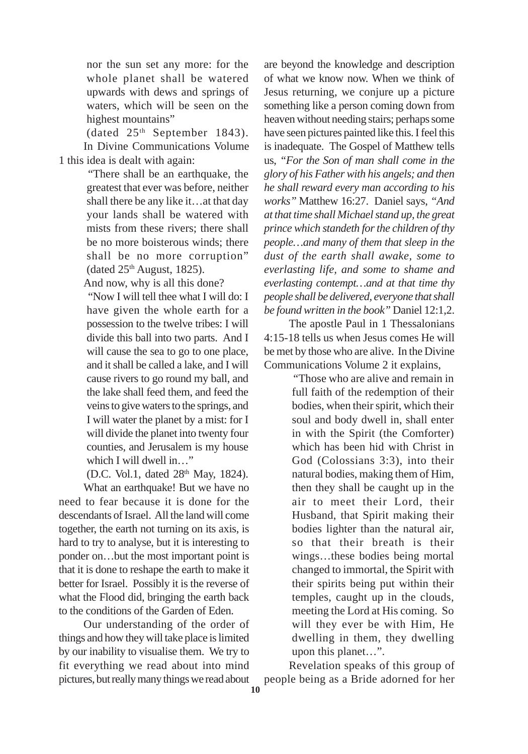nor the sun set any more: for the whole planet shall be watered upwards with dews and springs of waters, which will be seen on the highest mountains"

(dated 25th September 1843).

In Divine Communications Volume 1 this idea is dealt with again:

> "There shall be an earthquake, the greatest that ever was before, neither shall there be any like it…at that day your lands shall be watered with mists from these rivers; there shall be no more boisterous winds; there shall be no more corruption" (dated  $25<sup>th</sup>$  August, 1825).

And now, why is all this done?

"Now I will tell thee what I will do: I have given the whole earth for a possession to the twelve tribes: I will divide this ball into two parts. And I will cause the sea to go to one place, and it shall be called a lake, and I will cause rivers to go round my ball, and the lake shall feed them, and feed the veins to give waters to the springs, and I will water the planet by a mist: for I will divide the planet into twenty four counties, and Jerusalem is my house which I will dwell in…"

(D.C. Vol.1, dated 28<sup>th</sup> May, 1824).

What an earthquake! But we have no need to fear because it is done for the descendants of Israel. All the land will come together, the earth not turning on its axis, is hard to try to analyse, but it is interesting to ponder on…but the most important point is that it is done to reshape the earth to make it better for Israel. Possibly it is the reverse of what the Flood did, bringing the earth back to the conditions of the Garden of Eden.

Our understanding of the order of things and how they will take place is limited by our inability to visualise them. We try to fit everything we read about into mind pictures, but really many things we read about

are beyond the knowledge and description of what we know now. When we think of Jesus returning, we conjure up a picture something like a person coming down from heaven without needing stairs; perhaps some have seen pictures painted like this. I feel this is inadequate. The Gospel of Matthew tells us, *"For the Son of man shall come in the glory of his Father with his angels; and then he shall reward every man according to his works"* Matthew 16:27. Daniel says, *"And at that time shall Michael stand up, the great prince which standeth for the children of thy people…and many of them that sleep in the dust of the earth shall awake, some to everlasting life, and some to shame and everlasting contempt…and at that time thy people shall be delivered, everyone that shall be found written in the book"* Daniel 12:1,2.

The apostle Paul in 1 Thessalonians 4:15-18 tells us when Jesus comes He will be met by those who are alive. In the Divine Communications Volume 2 it explains,

> "Those who are alive and remain in full faith of the redemption of their bodies, when their spirit, which their soul and body dwell in, shall enter in with the Spirit (the Comforter) which has been hid with Christ in God (Colossians 3:3), into their natural bodies, making them of Him, then they shall be caught up in the air to meet their Lord, their Husband, that Spirit making their bodies lighter than the natural air, so that their breath is their wings…these bodies being mortal changed to immortal, the Spirit with their spirits being put within their temples, caught up in the clouds, meeting the Lord at His coming. So will they ever be with Him, He dwelling in them, they dwelling upon this planet…".

Revelation speaks of this group of people being as a Bride adorned for her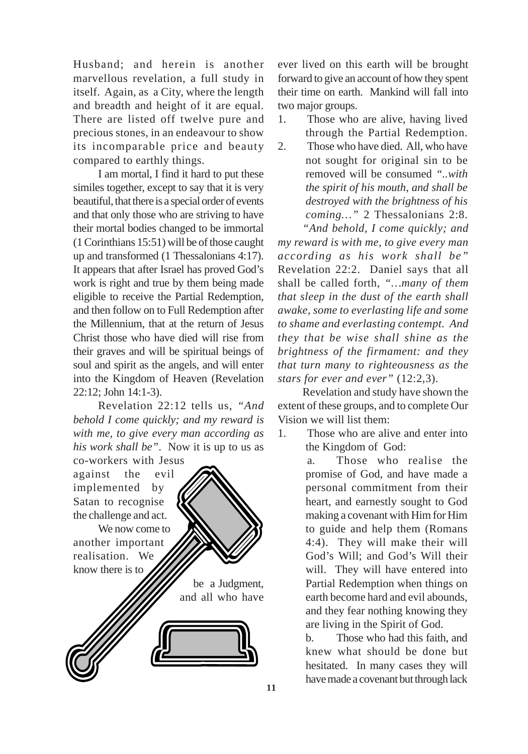Husband; and herein is another marvellous revelation, a full study in itself. Again, as a City, where the length and breadth and height of it are equal. There are listed off twelve pure and precious stones, in an endeavour to show its incomparable price and beauty compared to earthly things.

I am mortal, I find it hard to put these similes together, except to say that it is very beautiful, that there is a special order of events and that only those who are striving to have their mortal bodies changed to be immortal (1 Corinthians 15:51) will be of those caught up and transformed (1 Thessalonians 4:17). It appears that after Israel has proved God's work is right and true by them being made eligible to receive the Partial Redemption, and then follow on to Full Redemption after the Millennium, that at the return of Jesus Christ those who have died will rise from their graves and will be spiritual beings of soul and spirit as the angels, and will enter into the Kingdom of Heaven (Revelation 22:12; John 14:1-3).

Revelation 22:12 tells us, *"And behold I come quickly; and my reward is with me, to give every man according as his work shall be"*. Now it is up to us as co-workers with Jesus

against the evil implemented by Satan to recognise the challenge and act. We now come to another important realisation. We know there is to be a Judgment, and all who have ever lived on this earth will be brought forward to give an account of how they spent their time on earth. Mankind will fall into two major groups.

- 1. Those who are alive, having lived through the Partial Redemption.
- 2. Those who have died. All, who have not sought for original sin to be removed will be consumed *"..with the spirit of his mouth, and shall be destroyed with the brightness of his coming…"* 2 Thessalonians 2:8. *"And behold, I come quickly; and*

*my reward is with me, to give every man according as his work shall be"* Revelation 22:2. Daniel says that all shall be called forth, *"…many of them that sleep in the dust of the earth shall awake, some to everlasting life and some to shame and everlasting contempt. And they that be wise shall shine as the brightness of the firmament: and they that turn many to righteousness as the stars for ever and ever"* (12:2,3).

Revelation and study have shown the extent of these groups, and to complete Our Vision we will list them:

1. Those who are alive and enter into the Kingdom of God:

> a. Those who realise the promise of God, and have made a personal commitment from their heart, and earnestly sought to God making a covenant with Him for Him to guide and help them (Romans 4:4). They will make their will God's Will; and God's Will their will. They will have entered into Partial Redemption when things on earth become hard and evil abounds, and they fear nothing knowing they are living in the Spirit of God.

b. Those who had this faith, and knew what should be done but hesitated. In many cases they will have made a covenant but through lack **11**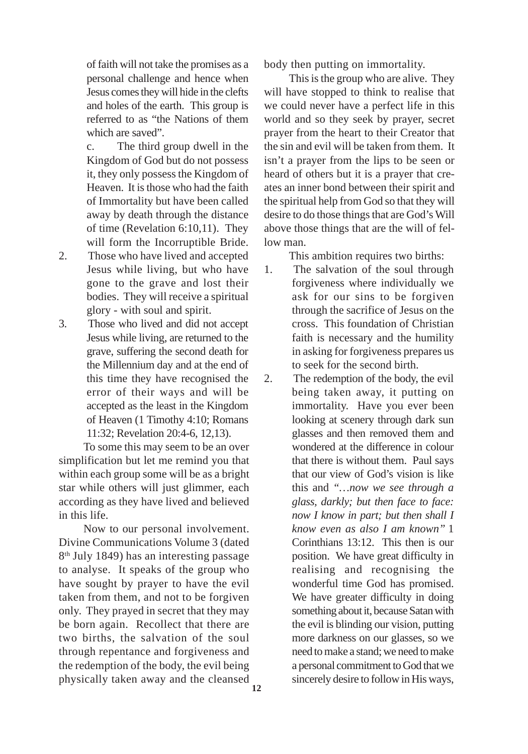of faith will not take the promises as a personal challenge and hence when Jesus comes they will hide in the clefts and holes of the earth. This group is referred to as "the Nations of them which are saved".

c. The third group dwell in the Kingdom of God but do not possess it, they only possess the Kingdom of Heaven. It is those who had the faith of Immortality but have been called away by death through the distance of time (Revelation 6:10,11). They will form the Incorruptible Bride.

- 2. Those who have lived and accepted Jesus while living, but who have gone to the grave and lost their bodies. They will receive a spiritual glory - with soul and spirit.
- 3. Those who lived and did not accept Jesus while living, are returned to the grave, suffering the second death for the Millennium day and at the end of this time they have recognised the error of their ways and will be accepted as the least in the Kingdom of Heaven (1 Timothy 4:10; Romans 11:32; Revelation 20:4-6, 12,13).

To some this may seem to be an over simplification but let me remind you that within each group some will be as a bright star while others will just glimmer, each according as they have lived and believed in this life.

Now to our personal involvement. Divine Communications Volume 3 (dated 8th July 1849) has an interesting passage to analyse. It speaks of the group who have sought by prayer to have the evil taken from them, and not to be forgiven only. They prayed in secret that they may be born again. Recollect that there are two births, the salvation of the soul through repentance and forgiveness and the redemption of the body, the evil being physically taken away and the cleansed

body then putting on immortality.

This is the group who are alive. They will have stopped to think to realise that we could never have a perfect life in this world and so they seek by prayer, secret prayer from the heart to their Creator that the sin and evil will be taken from them. It isn't a prayer from the lips to be seen or heard of others but it is a prayer that creates an inner bond between their spirit and the spiritual help from God so that they will desire to do those things that are God's Will above those things that are the will of fellow man.

This ambition requires two births:

- 1. The salvation of the soul through forgiveness where individually we ask for our sins to be forgiven through the sacrifice of Jesus on the cross. This foundation of Christian faith is necessary and the humility in asking for forgiveness prepares us to seek for the second birth.
- 2. The redemption of the body, the evil being taken away, it putting on immortality. Have you ever been looking at scenery through dark sun glasses and then removed them and wondered at the difference in colour that there is without them. Paul says that our view of God's vision is like this and *"…now we see through a glass, darkly; but then face to face: now I know in part; but then shall I know even as also I am known"* 1 Corinthians 13:12. This then is our position. We have great difficulty in realising and recognising the wonderful time God has promised. We have greater difficulty in doing something about it, because Satan with the evil is blinding our vision, putting more darkness on our glasses, so we need to make a stand; we need to make a personal commitment to God that we sincerely desire to follow in His ways, **12**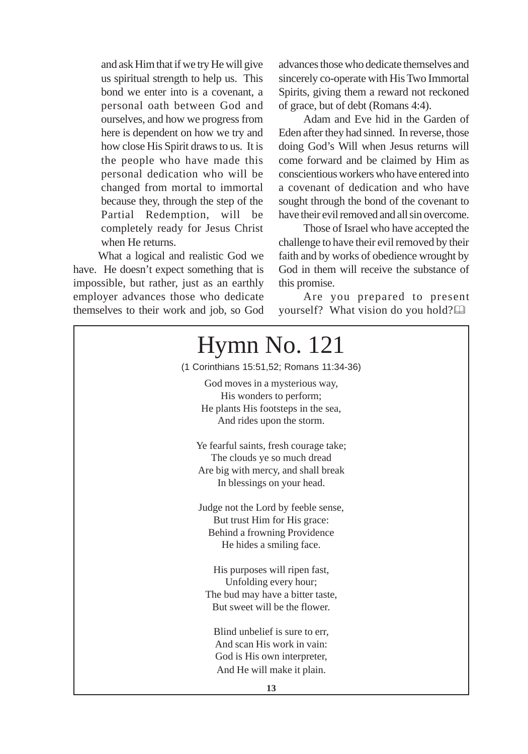and ask Him that if we try He will give us spiritual strength to help us. This bond we enter into is a covenant, a personal oath between God and ourselves, and how we progress from here is dependent on how we try and how close His Spirit draws to us. It is the people who have made this personal dedication who will be changed from mortal to immortal because they, through the step of the Partial Redemption, will be completely ready for Jesus Christ when He returns.

What a logical and realistic God we have. He doesn't expect something that is impossible, but rather, just as an earthly employer advances those who dedicate themselves to their work and job, so God

advances those who dedicate themselves and sincerely co-operate with His Two Immortal Spirits, giving them a reward not reckoned of grace, but of debt (Romans 4:4).

Adam and Eve hid in the Garden of Eden after they had sinned. In reverse, those doing God's Will when Jesus returns will come forward and be claimed by Him as conscientious workers who have entered into a covenant of dedication and who have sought through the bond of the covenant to have their evil removed and all sin overcome.

Those of Israel who have accepted the challenge to have their evil removed by their faith and by works of obedience wrought by God in them will receive the substance of this promise.

Are you prepared to present yourself? What vision do you hold?

| $Hymn$ No. 121                                                                                                                             |  |  |
|--------------------------------------------------------------------------------------------------------------------------------------------|--|--|
| (1 Corinthians 15:51,52; Romans 11:34-36)                                                                                                  |  |  |
| God moves in a mysterious way,<br>His wonders to perform;<br>He plants His footsteps in the sea,<br>And rides upon the storm.              |  |  |
| Ye fearful saints, fresh courage take;<br>The clouds ye so much dread<br>Are big with mercy, and shall break<br>In blessings on your head. |  |  |
| Judge not the Lord by feeble sense,<br>But trust Him for His grace:<br>Behind a frowning Providence<br>He hides a smiling face.            |  |  |
| His purposes will ripen fast,<br>Unfolding every hour;<br>The bud may have a bitter taste,<br>But sweet will be the flower.                |  |  |
| Blind unbelief is sure to err,<br>And scan His work in vain:<br>God is His own interpreter,<br>And He will make it plain.                  |  |  |
| 13                                                                                                                                         |  |  |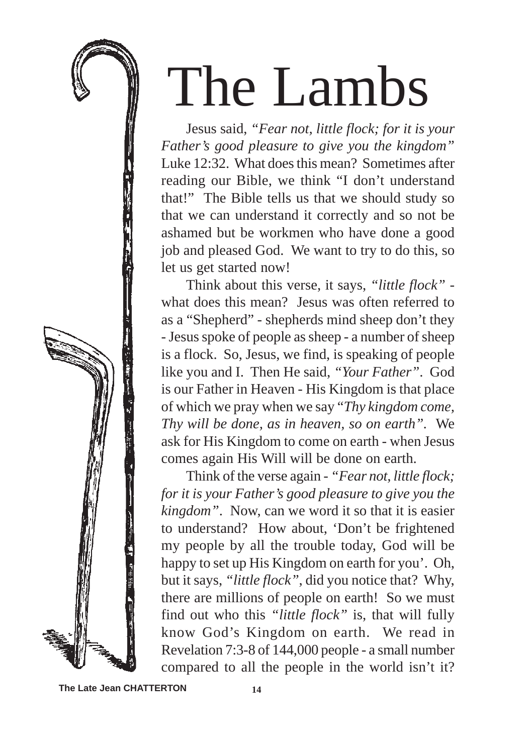## The Lambs

Jesus said, *"Fear not, little flock; for it is your Father's good pleasure to give you the kingdom"* Luke 12:32. What does this mean? Sometimes after reading our Bible, we think "I don't understand that!" The Bible tells us that we should study so that we can understand it correctly and so not be ashamed but be workmen who have done a good job and pleased God. We want to try to do this, so let us get started now!

Think about this verse, it says, *"little flock"* what does this mean? Jesus was often referred to as a "Shepherd" - shepherds mind sheep don't they - Jesus spoke of people as sheep - a number of sheep is a flock. So, Jesus, we find, is speaking of people like you and I. Then He said, *"Your Father"*. God is our Father in Heaven - His Kingdom is that place of which we pray when we say "*Thy kingdom come, Thy will be done, as in heaven, so on earth".* We ask for His Kingdom to come on earth - when Jesus comes again His Will will be done on earth.

Think of the verse again - *"Fear not, little flock; for it is your Father's good pleasure to give you the kingdom"*. Now, can we word it so that it is easier to understand? How about, 'Don't be frightened my people by all the trouble today, God will be happy to set up His Kingdom on earth for you'. Oh, but it says, *"little flock"*, did you notice that? Why, there are millions of people on earth! So we must find out who this *"little flock"* is, that will fully know God's Kingdom on earth. We read in Revelation 7:3-8 of 144,000 people - a small number compared to all the people in the world isn't it?

**The Late Jean CHATTERTON**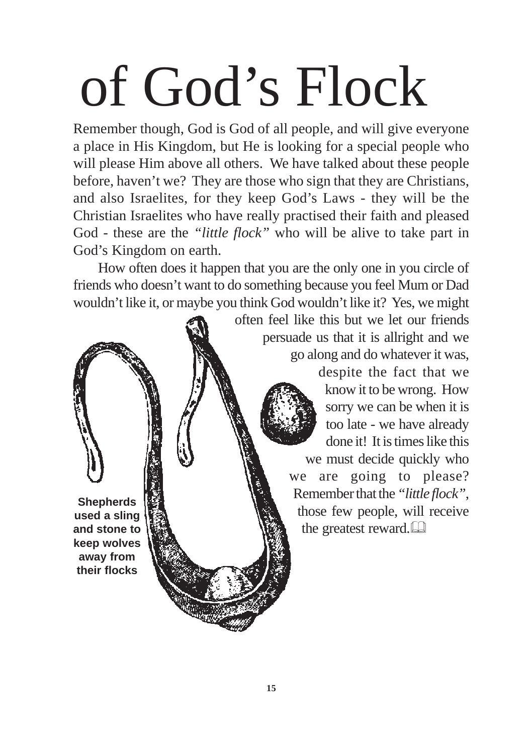# of God's Flock

Remember though, God is God of all people, and will give everyone a place in His Kingdom, but He is looking for a special people who will please Him above all others. We have talked about these people before, haven't we? They are those who sign that they are Christians, and also Israelites, for they keep God's Laws - they will be the Christian Israelites who have really practised their faith and pleased God - these are the *"little flock"* who will be alive to take part in God's Kingdom on earth.

How often does it happen that you are the only one in you circle of friends who doesn't want to do something because you feel Mum or Dad wouldn't like it, or maybe you think God wouldn't like it? Yes, we might

> often feel like this but we let our friends persuade us that it is allright and we go along and do whatever it was,

> > despite the fact that we know it to be wrong. How sorry we can be when it is too late - we have already done it! It is times like this we must decide quickly who we are going to please? Remember that the *"little flock"*, those few people, will receive the greatest reward.

**Shepherds used a sling and stone to keep wolves away from their flocks**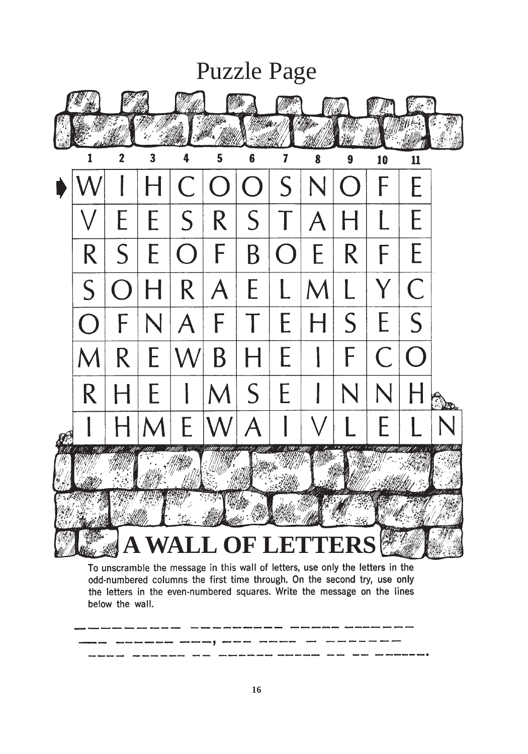

the letters in the even-numbered squares. Write the message on the lines below the wall.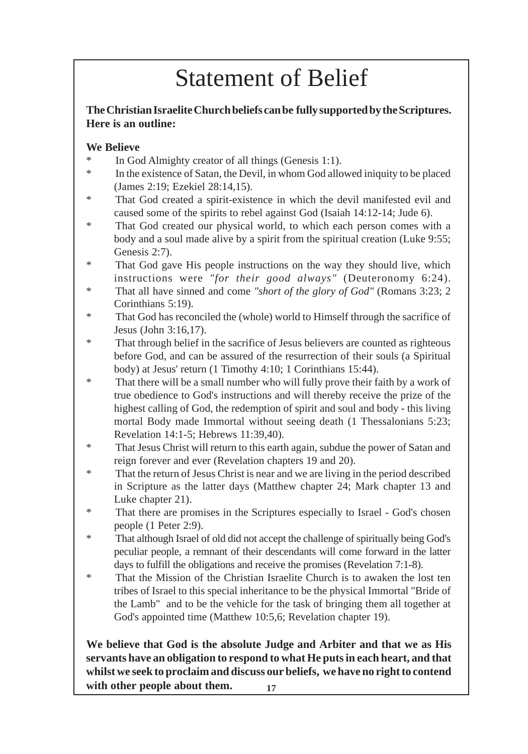## Statement of Belief

#### **The Christian Israelite Church beliefs can be fully supported by the Scriptures. Here is an outline:**

#### **We Believe**

- In God Almighty creator of all things (Genesis 1:1).
- \* In the existence of Satan, the Devil, in whom God allowed iniquity to be placed (James 2:19; Ezekiel 28:14,15).
- \* That God created a spirit-existence in which the devil manifested evil and caused some of the spirits to rebel against God (Isaiah 14:12-14; Jude 6).
- That God created our physical world, to which each person comes with a body and a soul made alive by a spirit from the spiritual creation (Luke 9:55; Genesis 2:7).
- \* That God gave His people instructions on the way they should live, which instructions were *"for their good always"* (Deuteronomy 6:24).
- \* That all have sinned and come *"short of the glory of God"* (Romans 3:23; 2 Corinthians 5:19).
- \* That God has reconciled the (whole) world to Himself through the sacrifice of Jesus (John 3:16,17).
- \* That through belief in the sacrifice of Jesus believers are counted as righteous before God, and can be assured of the resurrection of their souls (a Spiritual body) at Jesus' return (1 Timothy 4:10; 1 Corinthians 15:44).
- \* That there will be a small number who will fully prove their faith by a work of true obedience to God's instructions and will thereby receive the prize of the highest calling of God, the redemption of spirit and soul and body - this living mortal Body made Immortal without seeing death (1 Thessalonians 5:23; Revelation 14:1-5; Hebrews 11:39,40).
- \* That Jesus Christ will return to this earth again, subdue the power of Satan and reign forever and ever (Revelation chapters 19 and 20).
- \* That the return of Jesus Christ is near and we are living in the period described in Scripture as the latter days (Matthew chapter 24; Mark chapter 13 and Luke chapter 21).
- \* That there are promises in the Scriptures especially to Israel God's chosen people (1 Peter 2:9).
- \* That although Israel of old did not accept the challenge of spiritually being God's peculiar people, a remnant of their descendants will come forward in the latter days to fulfill the obligations and receive the promises (Revelation 7:1-8).
- \* That the Mission of the Christian Israelite Church is to awaken the lost ten tribes of Israel to this special inheritance to be the physical Immortal "Bride of the Lamb" and to be the vehicle for the task of bringing them all together at God's appointed time (Matthew 10:5,6; Revelation chapter 19).

**We believe that God is the absolute Judge and Arbiter and that we as His servants have an obligation to respond to what He puts in each heart, and that whilst we seek to proclaim and discuss our beliefs, we have no right to contend with other people about them.** 17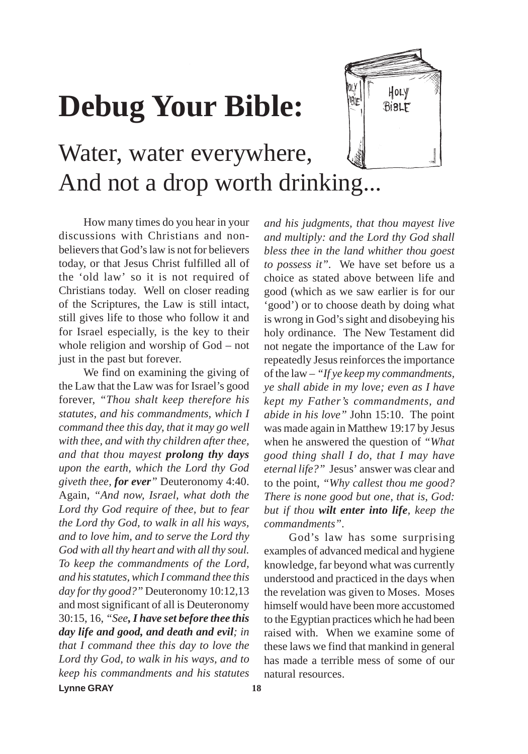## **Debug Your Bible:**



## Water, water everywhere, And not a drop worth drinking...

How many times do you hear in your discussions with Christians and nonbelievers that God's law is not for believers today, or that Jesus Christ fulfilled all of the 'old law' so it is not required of Christians today. Well on closer reading of the Scriptures, the Law is still intact, still gives life to those who follow it and for Israel especially, is the key to their whole religion and worship of God – not just in the past but forever.

We find on examining the giving of the Law that the Law was for Israel's good forever, *"Thou shalt keep therefore his statutes, and his commandments, which I command thee this day, that it may go well with thee, and with thy children after thee, and that thou mayest prolong thy days upon the earth, which the Lord thy God giveth thee, for ever"* Deuteronomy 4:40. Again, *"And now, Israel, what doth the Lord thy God require of thee, but to fear the Lord thy God, to walk in all his ways, and to love him, and to serve the Lord thy God with all thy heart and with all thy soul. To keep the commandments of the Lord, and his statutes, which I command thee this day for thy good?"* Deuteronomy 10:12,13 and most significant of all is Deuteronomy 30:15, 16, *"See, I have set before thee this day life and good, and death and evil; in that I command thee this day to love the Lord thy God, to walk in his ways, and to keep his commandments and his statutes* **Lynne GRAY 18**

*and his judgments, that thou mayest live and multiply: and the Lord thy God shall bless thee in the land whither thou goest to possess it".* We have set before us a choice as stated above between life and good (which as we saw earlier is for our 'good') or to choose death by doing what is wrong in God's sight and disobeying his holy ordinance. The New Testament did not negate the importance of the Law for repeatedly Jesus reinforces the importance of the law – *"If ye keep my commandments, ye shall abide in my love; even as I have kept my Father's commandments, and abide in his love"* John 15:10. The point was made again in Matthew 19:17 by Jesus when he answered the question of *"What good thing shall I do, that I may have eternal life?"* Jesus' answer was clear and to the point, *"Why callest thou me good? There is none good but one, that is, God: but if thou wilt enter into life, keep the commandments"*.

God's law has some surprising examples of advanced medical and hygiene knowledge, far beyond what was currently understood and practiced in the days when the revelation was given to Moses. Moses himself would have been more accustomed to the Egyptian practices which he had been raised with. When we examine some of these laws we find that mankind in general has made a terrible mess of some of our natural resources.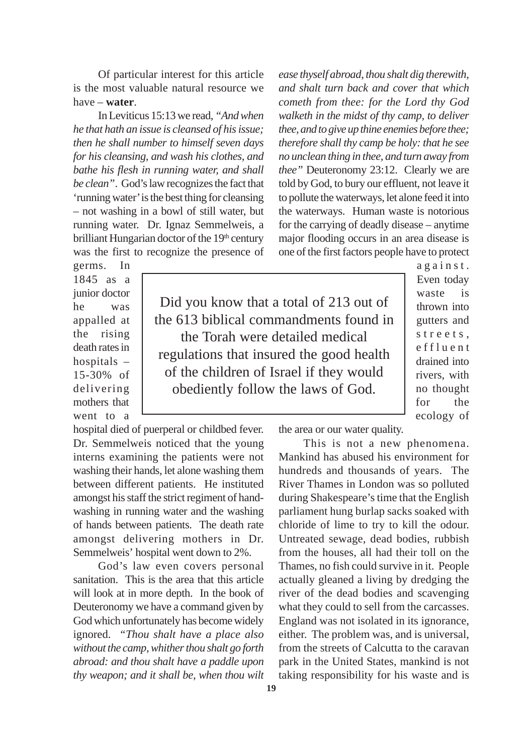Of particular interest for this article is the most valuable natural resource we have – **water**.

In Leviticus 15:13 we read, *"And when he that hath an issue is cleansed of his issue; then he shall number to himself seven days for his cleansing, and wash his clothes, and bathe his flesh in running water, and shall be clean"*. God's law recognizes the fact that 'running water' is the best thing for cleansing – not washing in a bowl of still water, but running water. Dr. Ignaz Semmelweis, a brilliant Hungarian doctor of the 19th century was the first to recognize the presence of

*ease thyself abroad, thou shalt dig therewith, and shalt turn back and cover that which cometh from thee: for the Lord thy God walketh in the midst of thy camp, to deliver thee, and to give up thine enemies before thee; therefore shall thy camp be holy: that he see no unclean thing in thee, and turn away from thee"* Deuteronomy 23:12. Clearly we are told by God, to bury our effluent, not leave it to pollute the waterways, let alone feed it into the waterways. Human waste is notorious for the carrying of deadly disease – anytime major flooding occurs in an area disease is one of the first factors people have to protect

germs. In 1845 as a junior doctor he was appalled at the rising death rates in hospitals – 15-30% of delivering mothers that went to a

Did you know that a total of 213 out of the 613 biblical commandments found in the Torah were detailed medical regulations that insured the good health of the children of Israel if they would obediently follow the laws of God.

against. Even today waste is thrown into gutters and streets, effluent drained into rivers, with no thought for the ecology of

the area or our water quality.

This is not a new phenomena. Mankind has abused his environment for hundreds and thousands of years. The River Thames in London was so polluted during Shakespeare's time that the English parliament hung burlap sacks soaked with chloride of lime to try to kill the odour. Untreated sewage, dead bodies, rubbish from the houses, all had their toll on the Thames, no fish could survive in it. People actually gleaned a living by dredging the river of the dead bodies and scavenging what they could to sell from the carcasses. England was not isolated in its ignorance, either. The problem was, and is universal, from the streets of Calcutta to the caravan park in the United States, mankind is not taking responsibility for his waste and is

Dr. Semmelweis noticed that the young interns examining the patients were not washing their hands, let alone washing them between different patients. He instituted amongst his staff the strict regiment of handwashing in running water and the washing of hands between patients. The death rate amongst delivering mothers in Dr. Semmelweis' hospital went down to 2%. God's law even covers personal

hospital died of puerperal or childbed fever.

sanitation. This is the area that this article will look at in more depth. In the book of Deuteronomy we have a command given by God which unfortunately has become widely ignored. *"Thou shalt have a place also without the camp, whither thou shalt go forth abroad: and thou shalt have a paddle upon thy weapon; and it shall be, when thou wilt*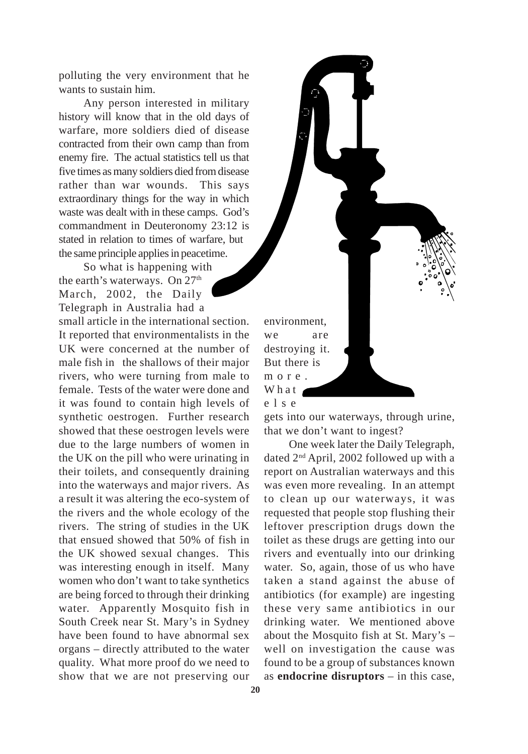polluting the very environment that he wants to sustain him.

Any person interested in military history will know that in the old days of warfare, more soldiers died of disease contracted from their own camp than from enemy fire. The actual statistics tell us that five times as many soldiers died from disease rather than war wounds. This says extraordinary things for the way in which waste was dealt with in these camps. God's commandment in Deuteronomy 23:12 is stated in relation to times of warfare, but the same principle applies in peacetime.

So what is happening with the earth's waterways. On 27<sup>th</sup> March, 2002, the Daily Telegraph in Australia had a small article in the international section. It reported that environmentalists in the UK were concerned at the number of male fish in the shallows of their major rivers, who were turning from male to female. Tests of the water were done and it was found to contain high levels of synthetic oestrogen. Further research showed that these oestrogen levels were due to the large numbers of women in the UK on the pill who were urinating in their toilets, and consequently draining into the waterways and major rivers. As a result it was altering the eco-system of the rivers and the whole ecology of the rivers. The string of studies in the UK that ensued showed that 50% of fish in the UK showed sexual changes. This was interesting enough in itself. Many women who don't want to take synthetics are being forced to through their drinking water. Apparently Mosquito fish in South Creek near St. Mary's in Sydney have been found to have abnormal sex organs – directly attributed to the water quality. What more proof do we need to show that we are not preserving our



gets into our waterways, through urine, that we don't want to ingest?

One week later the Daily Telegraph, dated 2nd April, 2002 followed up with a report on Australian waterways and this was even more revealing. In an attempt to clean up our waterways, it was requested that people stop flushing their leftover prescription drugs down the toilet as these drugs are getting into our rivers and eventually into our drinking water. So, again, those of us who have taken a stand against the abuse of antibiotics (for example) are ingesting these very same antibiotics in our drinking water. We mentioned above about the Mosquito fish at St. Mary's – well on investigation the cause was found to be a group of substances known as **endocrine disruptors** – in this case,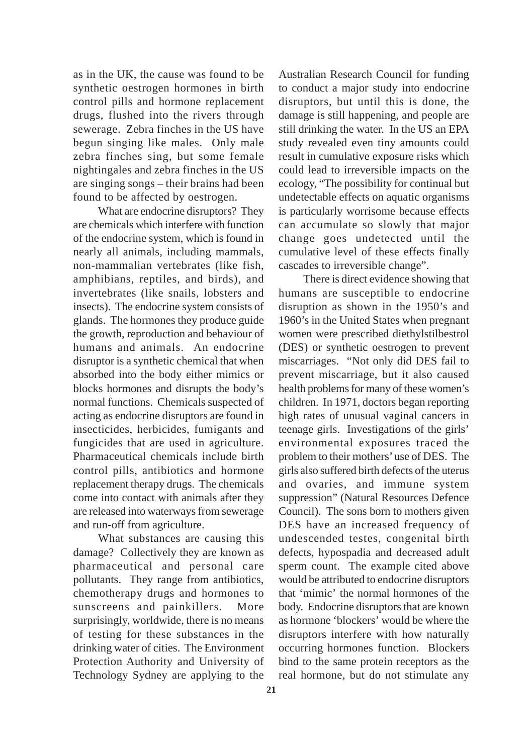as in the UK, the cause was found to be synthetic oestrogen hormones in birth control pills and hormone replacement drugs, flushed into the rivers through sewerage. Zebra finches in the US have begun singing like males. Only male zebra finches sing, but some female nightingales and zebra finches in the US are singing songs – their brains had been found to be affected by oestrogen.

What are endocrine disruptors? They are chemicals which interfere with function of the endocrine system, which is found in nearly all animals, including mammals, non-mammalian vertebrates (like fish, amphibians, reptiles, and birds), and invertebrates (like snails, lobsters and insects). The endocrine system consists of glands. The hormones they produce guide the growth, reproduction and behaviour of humans and animals. An endocrine disruptor is a synthetic chemical that when absorbed into the body either mimics or blocks hormones and disrupts the body's normal functions. Chemicals suspected of acting as endocrine disruptors are found in insecticides, herbicides, fumigants and fungicides that are used in agriculture. Pharmaceutical chemicals include birth control pills, antibiotics and hormone replacement therapy drugs. The chemicals come into contact with animals after they are released into waterways from sewerage and run-off from agriculture.

What substances are causing this damage? Collectively they are known as pharmaceutical and personal care pollutants. They range from antibiotics, chemotherapy drugs and hormones to sunscreens and painkillers. More surprisingly, worldwide, there is no means of testing for these substances in the drinking water of cities. The Environment Protection Authority and University of Technology Sydney are applying to the

Australian Research Council for funding to conduct a major study into endocrine disruptors, but until this is done, the damage is still happening, and people are still drinking the water. In the US an EPA study revealed even tiny amounts could result in cumulative exposure risks which could lead to irreversible impacts on the ecology, "The possibility for continual but undetectable effects on aquatic organisms is particularly worrisome because effects can accumulate so slowly that major change goes undetected until the cumulative level of these effects finally cascades to irreversible change".

There is direct evidence showing that humans are susceptible to endocrine disruption as shown in the 1950's and 1960's in the United States when pregnant women were prescribed diethylstilbestrol (DES) or synthetic oestrogen to prevent miscarriages. "Not only did DES fail to prevent miscarriage, but it also caused health problems for many of these women's children. In 1971, doctors began reporting high rates of unusual vaginal cancers in teenage girls. Investigations of the girls' environmental exposures traced the problem to their mothers' use of DES. The girls also suffered birth defects of the uterus and ovaries, and immune system suppression" (Natural Resources Defence Council). The sons born to mothers given DES have an increased frequency of undescended testes, congenital birth defects, hypospadia and decreased adult sperm count. The example cited above would be attributed to endocrine disruptors that 'mimic' the normal hormones of the body. Endocrine disruptors that are known as hormone 'blockers' would be where the disruptors interfere with how naturally occurring hormones function. Blockers bind to the same protein receptors as the real hormone, but do not stimulate any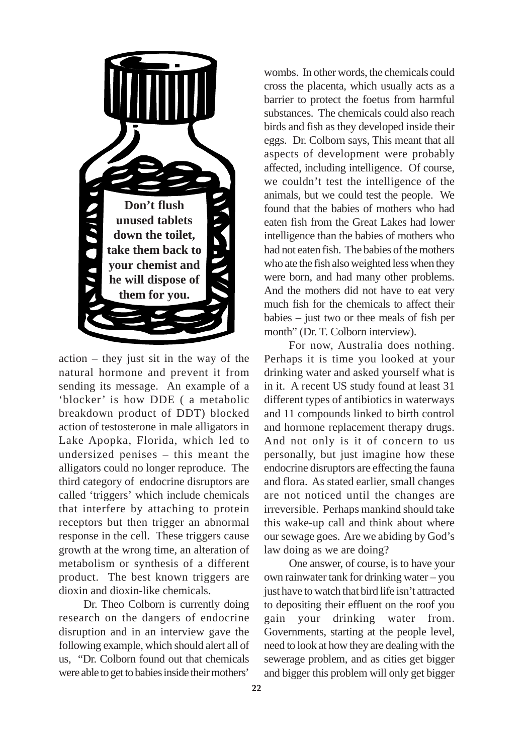

action – they just sit in the way of the natural hormone and prevent it from sending its message. An example of a 'blocker' is how DDE ( a metabolic breakdown product of DDT) blocked action of testosterone in male alligators in Lake Apopka, Florida, which led to undersized penises – this meant the alligators could no longer reproduce. The third category of endocrine disruptors are called 'triggers' which include chemicals that interfere by attaching to protein receptors but then trigger an abnormal response in the cell. These triggers cause growth at the wrong time, an alteration of metabolism or synthesis of a different product. The best known triggers are dioxin and dioxin-like chemicals.

Dr. Theo Colborn is currently doing research on the dangers of endocrine disruption and in an interview gave the following example, which should alert all of us, "Dr. Colborn found out that chemicals were able to get to babies inside their mothers'

wombs. In other words, the chemicals could cross the placenta, which usually acts as a barrier to protect the foetus from harmful substances. The chemicals could also reach birds and fish as they developed inside their eggs. Dr. Colborn says, This meant that all aspects of development were probably affected, including intelligence. Of course, we couldn't test the intelligence of the animals, but we could test the people. We found that the babies of mothers who had eaten fish from the Great Lakes had lower intelligence than the babies of mothers who had not eaten fish. The babies of the mothers who ate the fish also weighted less when they were born, and had many other problems. And the mothers did not have to eat very much fish for the chemicals to affect their babies – just two or thee meals of fish per month" (Dr. T. Colborn interview).

For now, Australia does nothing. Perhaps it is time you looked at your drinking water and asked yourself what is in it. A recent US study found at least 31 different types of antibiotics in waterways and 11 compounds linked to birth control and hormone replacement therapy drugs. And not only is it of concern to us personally, but just imagine how these endocrine disruptors are effecting the fauna and flora. As stated earlier, small changes are not noticed until the changes are irreversible. Perhaps mankind should take this wake-up call and think about where our sewage goes. Are we abiding by God's law doing as we are doing?

One answer, of course, is to have your own rainwater tank for drinking water – you just have to watch that bird life isn't attracted to depositing their effluent on the roof you gain your drinking water from. Governments, starting at the people level, need to look at how they are dealing with the sewerage problem, and as cities get bigger and bigger this problem will only get bigger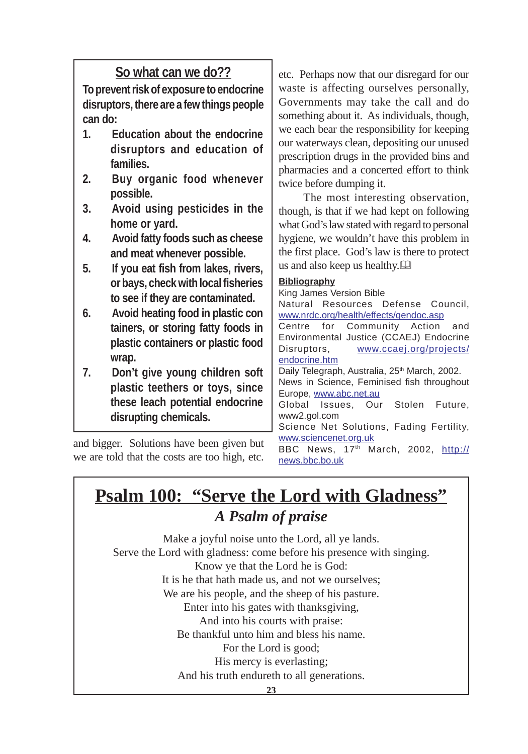#### **So what can we do??**

**To prevent risk of exposure to endocrine disruptors, there are a few things people can do:**

- **1. Education about the endocrine disruptors and education of families.**
- **2. Buy organic food whenever possible.**
- **3. Avoid using pesticides in the home or yard.**
- **4. Avoid fatty foods such as cheese and meat whenever possible.**
- **5. If you eat fish from lakes, rivers, or bays, check with local fisheries to see if they are contaminated.**
- **6. Avoid heating food in plastic con tainers, or storing fatty foods in plastic containers or plastic food wrap.**
- **7. Don't give young children soft plastic teethers or toys, since these leach potential endocrine disrupting chemicals.**

and bigger. Solutions have been given but we are told that the costs are too high, etc.

etc. Perhaps now that our disregard for our waste is affecting ourselves personally, Governments may take the call and do something about it. As individuals, though, we each bear the responsibility for keeping our waterways clean, depositing our unused prescription drugs in the provided bins and pharmacies and a concerted effort to think twice before dumping it.

The most interesting observation, though, is that if we had kept on following what God's law stated with regard to personal hygiene, we wouldn't have this problem in the first place. God's law is there to protect us and also keep us healthy.

#### **Bibliography**

King James Version Bible Natural Resources Defense Council, www.nrdc.org/health/effects/qendoc.asp Centre for Community Action and Environmental Justice (CCAEJ) Endocrine Disruptors, www.ccaej.org/projects/ endocrine.htm Daily Telegraph, Australia, 25<sup>th</sup> March, 2002. News in Science, Feminised fish throughout Europe, www.abc.net.au Global Issues, Our Stolen Future, www2.gol.com Science Net Solutions, Fading Fertility, www.sciencenet.org.uk BBC News, 17<sup>th</sup> March, 2002, http://

news.bbc.bo.uk

#### **Psalm 100: "Serve the Lord with Gladness"** *A Psalm of praise*

Make a joyful noise unto the Lord, all ye lands. Serve the Lord with gladness: come before his presence with singing. Know ye that the Lord he is God: It is he that hath made us, and not we ourselves; We are his people, and the sheep of his pasture. Enter into his gates with thanksgiving, And into his courts with praise: Be thankful unto him and bless his name. For the Lord is good; His mercy is everlasting; And his truth endureth to all generations.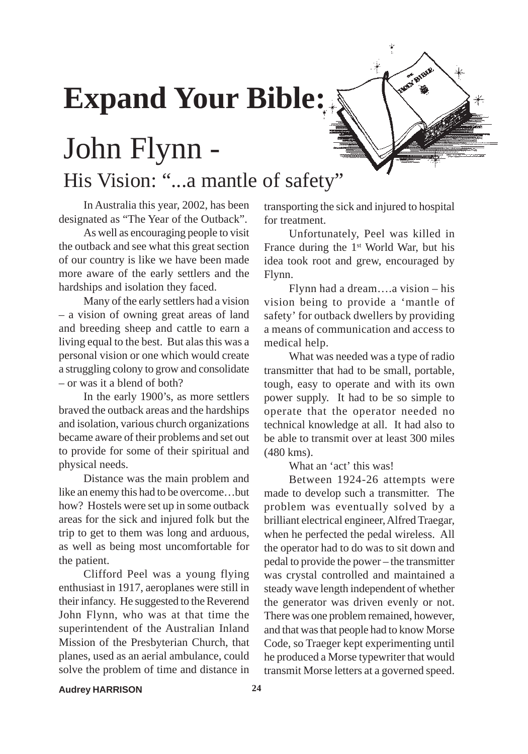## **Expand Your Bible:**

## John Flynn - His Vision: "...a mantle of safety"

In Australia this year, 2002, has been designated as "The Year of the Outback".

As well as encouraging people to visit the outback and see what this great section of our country is like we have been made more aware of the early settlers and the hardships and isolation they faced.

Many of the early settlers had a vision – a vision of owning great areas of land and breeding sheep and cattle to earn a living equal to the best. But alas this was a personal vision or one which would create a struggling colony to grow and consolidate – or was it a blend of both?

In the early 1900's, as more settlers braved the outback areas and the hardships and isolation, various church organizations became aware of their problems and set out to provide for some of their spiritual and physical needs.

Distance was the main problem and like an enemy this had to be overcome…but how? Hostels were set up in some outback areas for the sick and injured folk but the trip to get to them was long and arduous, as well as being most uncomfortable for the patient.

Clifford Peel was a young flying enthusiast in 1917, aeroplanes were still in their infancy. He suggested to the Reverend John Flynn, who was at that time the superintendent of the Australian Inland Mission of the Presbyterian Church, that planes, used as an aerial ambulance, could solve the problem of time and distance in

transporting the sick and injured to hospital for treatment.

Unfortunately, Peel was killed in France during the 1<sup>st</sup> World War, but his idea took root and grew, encouraged by Flynn.

Flynn had a dream….a vision – his vision being to provide a 'mantle of safety' for outback dwellers by providing a means of communication and access to medical help.

What was needed was a type of radio transmitter that had to be small, portable, tough, easy to operate and with its own power supply. It had to be so simple to operate that the operator needed no technical knowledge at all. It had also to be able to transmit over at least 300 miles (480 kms).

What an 'act' this was!

Between 1924-26 attempts were made to develop such a transmitter. The problem was eventually solved by a brilliant electrical engineer, Alfred Traegar, when he perfected the pedal wireless. All the operator had to do was to sit down and pedal to provide the power – the transmitter was crystal controlled and maintained a steady wave length independent of whether the generator was driven evenly or not. There was one problem remained, however, and that was that people had to know Morse Code, so Traeger kept experimenting until he produced a Morse typewriter that would transmit Morse letters at a governed speed.

**Audrey HARRISON 24**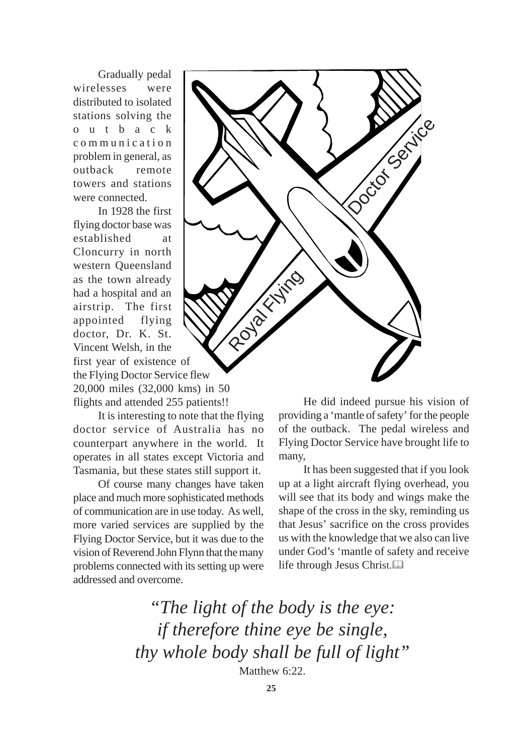Gradually pedal wirelesses were distributed to isolated stations solving the outback communication problem in general, as outback remote towers and stations were connected.

In 1928 the first flying doctor base was established at Cloncurry in north western Queensland as the town already had a hospital and an airstrip. The first appointed flying doctor, Dr. K. St. Vincent Welsh, in the first year of existence of the Flying Doctor Service flew 20,000 miles (32,000 kms) in 50 flights and attended 255 patients!!

It is interesting to note that the flying doctor service of Australia has no counterpart anywhere in the world. It operates in all states except Victoria and Tasmania, but these states still support it.

Of course many changes have taken place and much more sophisticated methods of communication are in use today. As well, more varied services are supplied by the Flying Doctor Service, but it was due to the vision of Reverend John Flynn that the many problems connected with its setting up were addressed and overcome.



He did indeed pursue his vision of providing a 'mantle of safety' for the people of the outback. The pedal wireless and Flying Doctor Service have brought life to many,

It has been suggested that if you look up at a light aircraft flying overhead, you will see that its body and wings make the shape of the cross in the sky, reminding us that Jesus' sacrifice on the cross provides us with the knowledge that we also can live under God's 'mantle of safety and receive life through Jesus Christ.

*"The light of the body is the eye: if therefore thine eye be single, thy whole body shall be full of light"* Matthew 6:22.

**25**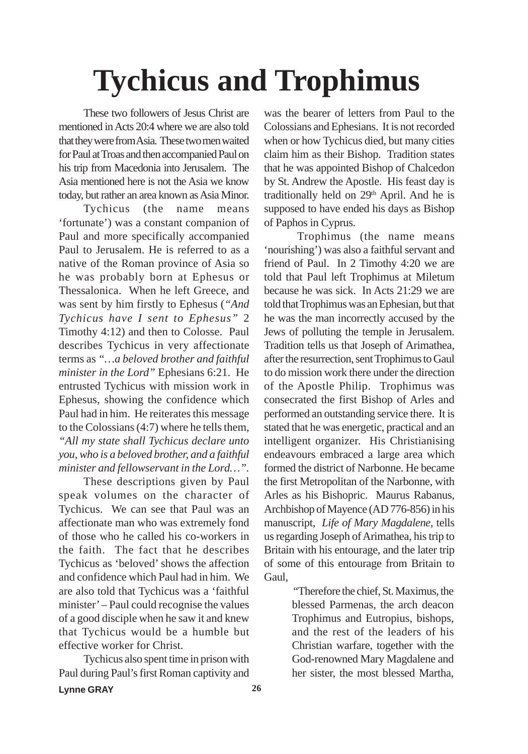## **Tychicus and Trophimus**

These two followers of Jesus Christ are mentioned in Acts 20:4 where we are also told that they were from Asia. These two men waited for Paul at Troas and then accompanied Paul on his trip from Macedonia into Jerusalem. The Asia mentioned here is not the Asia we know today, but rather an area known as Asia Minor.

Tychicus (the name means 'fortunate') was a constant companion of Paul and more specifically accompanied Paul to Jerusalem. He is referred to as a native of the Roman province of Asia so he was probably born at Ephesus or Thessalonica. When he left Greece, and was sent by him firstly to Ephesus (*"And Tychicus have I sent to Ephesus"* 2 Timothy 4:12) and then to Colosse. Paul describes Tychicus in very affectionate terms as *"…a beloved brother and faithful minister in the Lord"* Ephesians 6:21. He entrusted Tychicus with mission work in Ephesus, showing the confidence which Paul had in him. He reiterates this message to the Colossians (4:7) where he tells them, *"All my state shall Tychicus declare unto you, who is a beloved brother, and a faithful*

These descriptions given by Paul speak volumes on the character of Tychicus. We can see that Paul was an affectionate man who was extremely fond of those who he called his co-workers in the faith. The fact that he describes Tychicus as 'beloved' shows the affection and confidence which Paul had in him. We are also told that Tychicus was a 'faithful minister' – Paul could recognise the values of a good disciple when he saw it and knew that Tychicus would be a humble but effective worker for Christ.

*minister and fellowservant in the Lord…".*

Tychicus also spent time in prison with Paul during Paul's first Roman captivity and

was the bearer of letters from Paul to the Colossians and Ephesians. It is not recorded when or how Tychicus died, but many cities claim him as their Bishop. Tradition states that he was appointed Bishop of Chalcedon by St. Andrew the Apostle. His feast day is traditionally held on 29<sup>th</sup> April. And he is supposed to have ended his days as Bishop of Paphos in Cyprus.

 Trophimus (the name means 'nourishing') was also a faithful servant and friend of Paul. In 2 Timothy 4:20 we are told that Paul left Trophimus at Miletum because he was sick. In Acts 21:29 we are told that Trophimus was an Ephesian, but that he was the man incorrectly accused by the Jews of polluting the temple in Jerusalem. Tradition tells us that Joseph of Arimathea, after the resurrection, sent Trophimus to Gaul to do mission work there under the direction of the Apostle Philip. Trophimus was consecrated the first Bishop of Arles and performed an outstanding service there. It is stated that he was energetic, practical and an intelligent organizer. His Christianising endeavours embraced a large area which formed the district of Narbonne. He became the first Metropolitan of the Narbonne, with Arles as his Bishopric. Maurus Rabanus, Archbishop of Mayence (AD 776-856) in his manuscript, *Life of Mary Magdalene*, tells us regarding Joseph of Arimathea, his trip to Britain with his entourage, and the later trip of some of this entourage from Britain to Gaul,

> "Therefore the chief, St. Maximus, the blessed Parmenas, the arch deacon Trophimus and Eutropius, bishops, and the rest of the leaders of his Christian warfare, together with the God-renowned Mary Magdalene and her sister, the most blessed Martha,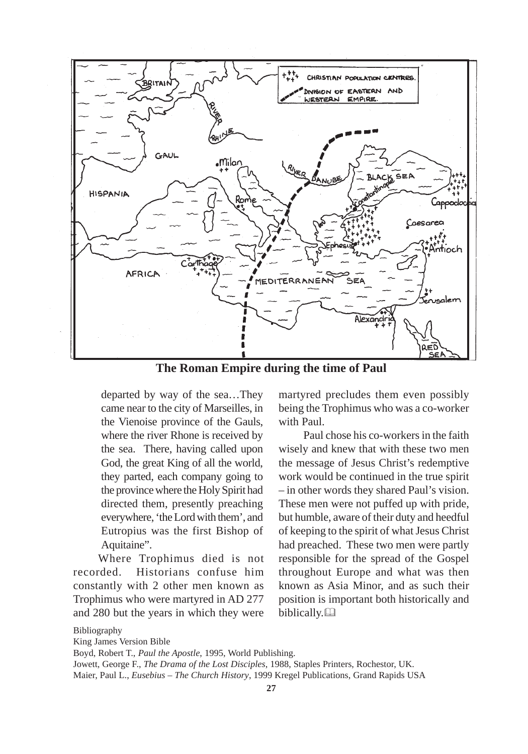

**The Roman Empire during the time of Paul**

departed by way of the sea…They came near to the city of Marseilles, in the Vienoise province of the Gauls, where the river Rhone is received by the sea. There, having called upon God, the great King of all the world, they parted, each company going to the province where the Holy Spirit had directed them, presently preaching everywhere, 'the Lord with them', and Eutropius was the first Bishop of Aquitaine".

Where Trophimus died is not recorded. Historians confuse him constantly with 2 other men known as Trophimus who were martyred in AD 277 and 280 but the years in which they were martyred precludes them even possibly being the Trophimus who was a co-worker with Paul.

Paul chose his co-workers in the faith wisely and knew that with these two men the message of Jesus Christ's redemptive work would be continued in the true spirit – in other words they shared Paul's vision. These men were not puffed up with pride, but humble, aware of their duty and heedful of keeping to the spirit of what Jesus Christ had preached. These two men were partly responsible for the spread of the Gospel throughout Europe and what was then known as Asia Minor, and as such their position is important both historically and biblically.

Bibliography

King James Version Bible

Boyd, Robert T., *Paul the Apostle*, 1995, World Publishing. Jowett, George F., *The Drama of the Lost Disciples*, 1988, Staples Printers, Rochestor, UK. Maier, Paul L., *Eusebius – The Church History*, 1999 Kregel Publications, Grand Rapids USA